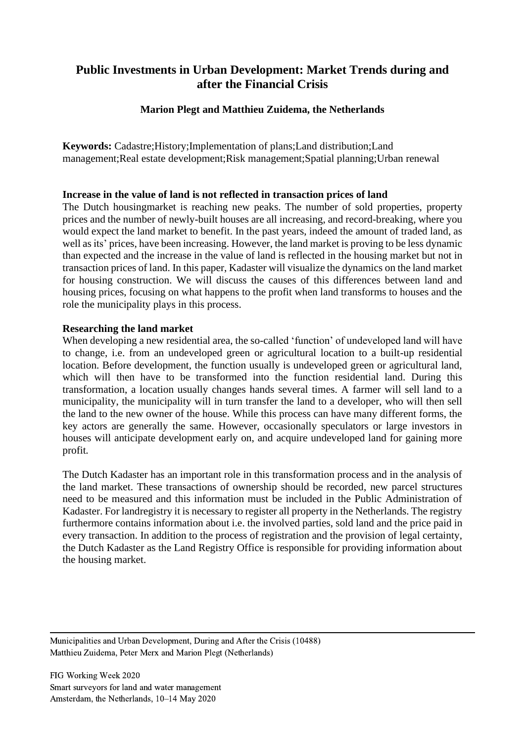## **Public Investments in Urban Development: Market Trends during and after the Financial Crisis**

## **Marion Plegt and Matthieu Zuidema, the Netherlands**

**Keywords:** Cadastre;History;Implementation of plans;Land distribution;Land management;Real estate development;Risk management;Spatial planning;Urban renewal

#### **Increase in the value of land is not reflected in transaction prices of land**

The Dutch housingmarket is reaching new peaks. The number of sold properties, property prices and the number of newly-built houses are all increasing, and record-breaking, where you would expect the land market to benefit. In the past years, indeed the amount of traded land, as well as its' prices, have been increasing. However, the land market is proving to be less dynamic than expected and the increase in the value of land is reflected in the housing market but not in transaction prices of land. In this paper, Kadaster will visualize the dynamics on the land market for housing construction. We will discuss the causes of this differences between land and housing prices, focusing on what happens to the profit when land transforms to houses and the role the municipality plays in this process.

#### **Researching the land market**

When developing a new residential area, the so-called 'function' of undeveloped land will have to change, i.e. from an undeveloped green or agricultural location to a built-up residential location. Before development, the function usually is undeveloped green or agricultural land, which will then have to be transformed into the function residential land. During this transformation, a location usually changes hands several times. A farmer will sell land to a municipality, the municipality will in turn transfer the land to a developer, who will then sell the land to the new owner of the house. While this process can have many different forms, the key actors are generally the same. However, occasionally speculators or large investors in houses will anticipate development early on, and acquire undeveloped land for gaining more profit*.*

The Dutch Kadaster has an important role in this transformation process and in the analysis of the land market. These transactions of ownership should be recorded, new parcel structures need to be measured and this information must be included in the Public Administration of Kadaster. For landregistry it is necessary to register all property in the Netherlands. The registry furthermore contains information about i.e. the involved parties, sold land and the price paid in every transaction. In addition to the process of registration and the provision of legal certainty, the Dutch Kadaster as the Land Registry Office is responsible for providing information about the housing market.

Municipalities and Urban Development, During and After the Crisis (10488) Matthieu Zuidema, Peter Merx and Marion Plegt (Netherlands)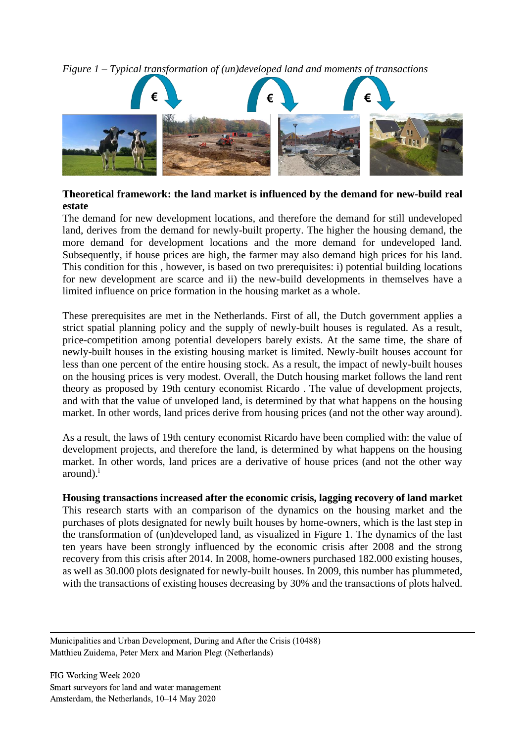*Figure 1 – Typical transformation of (un)developed land and moments of transactions*



## **Theoretical framework: the land market is influenced by the demand for new-build real estate**

The demand for new development locations, and therefore the demand for still undeveloped land, derives from the demand for newly-built property. The higher the housing demand, the more demand for development locations and the more demand for undeveloped land. Subsequently, if house prices are high, the farmer may also demand high prices for his land. This condition for this , however, is based on two prerequisites: i) potential building locations for new development are scarce and ii) the new-build developments in themselves have a limited influence on price formation in the housing market as a whole.

These prerequisites are met in the Netherlands. First of all, the Dutch government applies a strict spatial planning policy and the supply of newly-built houses is regulated. As a result, price-competition among potential developers barely exists. At the same time, the share of newly-built houses in the existing housing market is limited. Newly-built houses account for less than one percent of the entire housing stock. As a result, the impact of newly-built houses on the housing prices is very modest. Overall, the Dutch housing market follows the land rent theory as proposed by 19th century economist Ricardo . The value of development projects, and with that the value of unveloped land, is determined by that what happens on the housing market. In other words, land prices derive from housing prices (and not the other way around).

As a result, the laws of 19th century economist Ricardo have been complied with: the value of development projects, and therefore the land, is determined by what happens on the housing market. In other words, land prices are a derivative of house prices (and not the other way  $around)^i$ 

# **Housing transactions increased after the economic crisis, lagging recovery of land market**

This research starts with an comparison of the dynamics on the housing market and the purchases of plots designated for newly built houses by home-owners, which is the last step in the transformation of (un)developed land, as visualized in Figure 1. The dynamics of the last ten years have been strongly influenced by the economic crisis after 2008 and the strong recovery from this crisis after 2014. In 2008, home-owners purchased 182.000 existing houses, as well as 30.000 plots designated for newly-built houses. In 2009, this number has plummeted, with the transactions of existing houses decreasing by 30% and the transactions of plots halved.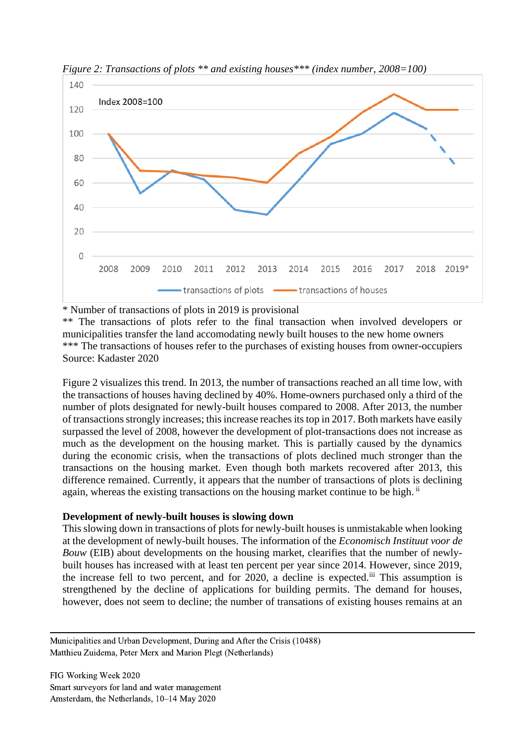

*Figure 2: Transactions of plots \*\* and existing houses\*\*\* (index number, 2008=100)*

\* Number of transactions of plots in 2019 is provisional

\*\* The transactions of plots refer to the final transaction when involved developers or municipalities transfer the land accomodating newly built houses to the new home owners \*\*\* The transactions of houses refer to the purchases of existing houses from owner-occupiers Source: Kadaster 2020

Figure 2 visualizes this trend. In 2013, the number of transactions reached an all time low, with the transactions of houses having declined by 40%. Home-owners purchased only a third of the number of plots designated for newly-built houses compared to 2008. After 2013, the number of transactions strongly increases; this increase reaches its top in 2017. Both markets have easily surpassed the level of 2008, however the development of plot-transactions does not increase as much as the development on the housing market. This is partially caused by the dynamics during the economic crisis, when the transactions of plots declined much stronger than the transactions on the housing market. Even though both markets recovered after 2013, this difference remained. Currently, it appears that the number of transactions of plots is declining again, whereas the existing transactions on the housing market continue to be high. <sup>ii</sup>

#### **Development of newly-built houses is slowing down**

This slowing down in transactions of plots for newly-built houses is unmistakable when looking at the development of newly-built houses. The information of the *Economisch Instituut voor de Bouw* (EIB) about developments on the housing market, clearifies that the number of newlybuilt houses has increased with at least ten percent per year since 2014. However, since 2019, the increase fell to two percent, and for 2020, a decline is expected.iii This assumption is strengthened by the decline of applications for building permits. The demand for houses, however, does not seem to decline; the number of transations of existing houses remains at an

Municipalities and Urban Development, During and After the Crisis (10488) Matthieu Zuidema, Peter Merx and Marion Plegt (Netherlands)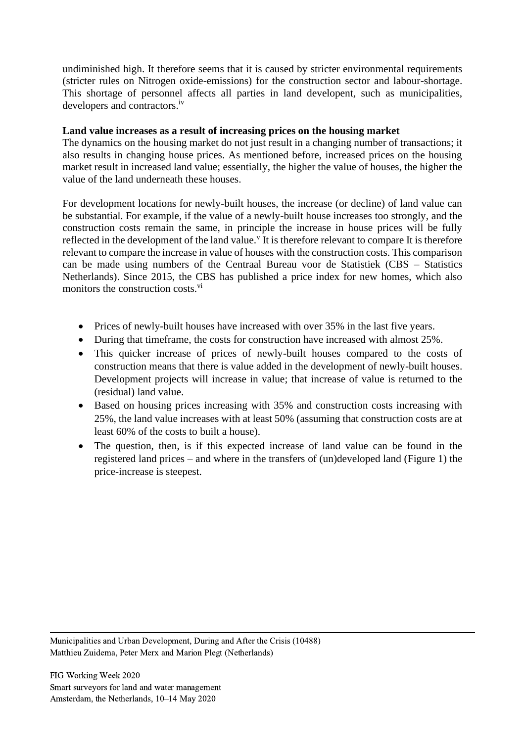undiminished high. It therefore seems that it is caused by stricter environmental requirements (stricter rules on Nitrogen oxide-emissions) for the construction sector and labour-shortage. This shortage of personnel affects all parties in land developent, such as municipalities, developers and contractors.<sup>iv</sup>

### **Land value increases as a result of increasing prices on the housing market**

The dynamics on the housing market do not just result in a changing number of transactions; it also results in changing house prices. As mentioned before, increased prices on the housing market result in increased land value; essentially, the higher the value of houses, the higher the value of the land underneath these houses.

For development locations for newly-built houses, the increase (or decline) of land value can be substantial. For example, if the value of a newly-built house increases too strongly, and the construction costs remain the same, in principle the increase in house prices will be fully reflected in the development of the land value.<sup>v</sup> It is therefore relevant to compare It is therefore relevant to compare the increase in value of houses with the construction costs. This comparison can be made using numbers of the Centraal Bureau voor de Statistiek (CBS – Statistics Netherlands). Since 2015, the CBS has published a price index for new homes, which also monitors the construction costs.<sup>vi</sup>

- Prices of newly-built houses have increased with over 35% in the last five years.
- During that timeframe, the costs for construction have increased with almost 25%.
- This quicker increase of prices of newly-built houses compared to the costs of construction means that there is value added in the development of newly-built houses. Development projects will increase in value; that increase of value is returned to the (residual) land value.
- Based on housing prices increasing with 35% and construction costs increasing with 25%, the land value increases with at least 50% (assuming that construction costs are at least 60% of the costs to built a house).
- The question, then, is if this expected increase of land value can be found in the registered land prices – and where in the transfers of (un)developed land (Figure 1) the price-increase is steepest.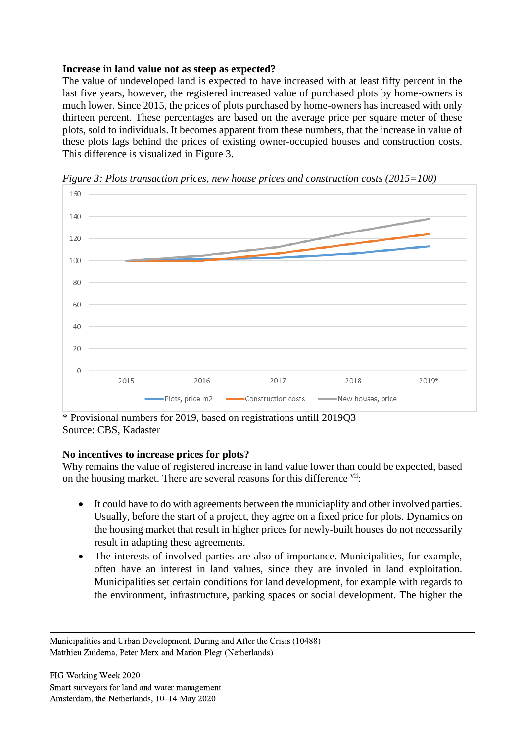## **Increase in land value not as steep as expected?**

The value of undeveloped land is expected to have increased with at least fifty percent in the last five years, however, the registered increased value of purchased plots by home-owners is much lower. Since 2015, the prices of plots purchased by home-owners has increased with only thirteen percent. These percentages are based on the average price per square meter of these plots, sold to individuals. It becomes apparent from these numbers, that the increase in value of these plots lags behind the prices of existing owner-occupied houses and construction costs. This difference is visualized in Figure 3.



*Figure 3: Plots transaction prices, new house prices and construction costs (2015=100)*

\* Provisional numbers for 2019, based on registrations untill 2019Q3 Source: CBS, Kadaster

### **No incentives to increase prices for plots?**

Why remains the value of registered increase in land value lower than could be expected, based on the housing market. There are several reasons for this difference vii:

- It could have to do with agreements between the municiaplity and other involved parties. Usually, before the start of a project, they agree on a fixed price for plots. Dynamics on the housing market that result in higher prices for newly-built houses do not necessarily result in adapting these agreements.
- The interests of involved parties are also of importance. Municipalities, for example, often have an interest in land values, since they are involed in land exploitation. Municipalities set certain conditions for land development, for example with regards to the environment, infrastructure, parking spaces or social development. The higher the

Municipalities and Urban Development, During and After the Crisis (10488) Matthieu Zuidema, Peter Merx and Marion Plegt (Netherlands)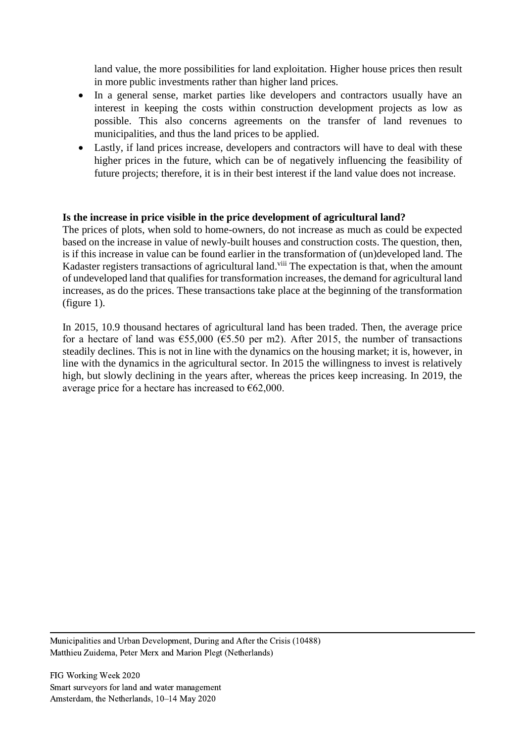land value, the more possibilities for land exploitation. Higher house prices then result in more public investments rather than higher land prices.

- In a general sense, market parties like developers and contractors usually have an interest in keeping the costs within construction development projects as low as possible. This also concerns agreements on the transfer of land revenues to municipalities, and thus the land prices to be applied.
- Lastly, if land prices increase, developers and contractors will have to deal with these higher prices in the future, which can be of negatively influencing the feasibility of future projects; therefore, it is in their best interest if the land value does not increase.

### **Is the increase in price visible in the price development of agricultural land?**

The prices of plots, when sold to home-owners, do not increase as much as could be expected based on the increase in value of newly-built houses and construction costs. The question, then, is if this increase in value can be found earlier in the transformation of (un)developed land. The Kadaster registers transactions of agricultural land.<sup>viii</sup> The expectation is that, when the amount of undeveloped land that qualifies for transformation increases, the demand for agricultural land increases, as do the prices. These transactions take place at the beginning of the transformation (figure 1).

In 2015, 10.9 thousand hectares of agricultural land has been traded. Then, the average price for a hectare of land was  $\epsilon$ 55,000 ( $\epsilon$ 5.50 per m2). After 2015, the number of transactions steadily declines. This is not in line with the dynamics on the housing market; it is, however, in line with the dynamics in the agricultural sector. In 2015 the willingness to invest is relatively high, but slowly declining in the years after, whereas the prices keep increasing. In 2019, the average price for a hectare has increased to  $\epsilon$ 62,000.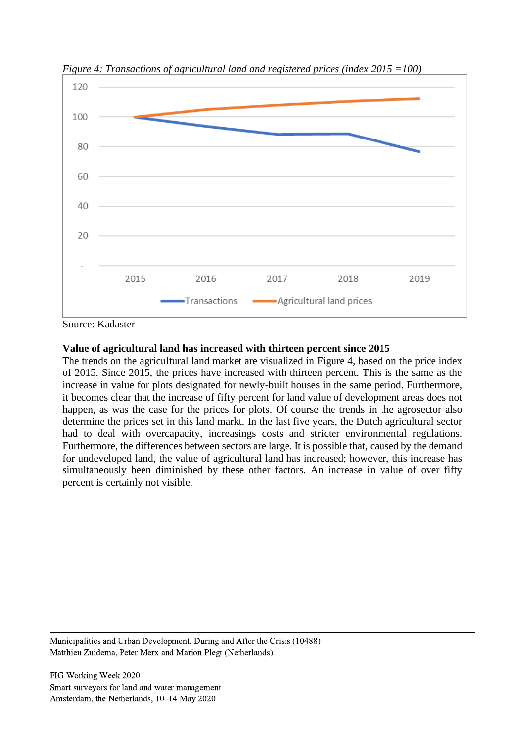

*Figure 4: Transactions of agricultural land and registered prices (index 2015 =100)*

Source: Kadaster

### **Value of agricultural land has increased with thirteen percent since 2015**

The trends on the agricultural land market are visualized in Figure 4, based on the price index of 2015. Since 2015, the prices have increased with thirteen percent. This is the same as the increase in value for plots designated for newly-built houses in the same period. Furthermore, it becomes clear that the increase of fifty percent for land value of development areas does not happen, as was the case for the prices for plots. Of course the trends in the agrosector also determine the prices set in this land markt. In the last five years, the Dutch agricultural sector had to deal with overcapacity, increasings costs and stricter environmental regulations. Furthermore, the differences between sectors are large. It is possible that, caused by the demand for undeveloped land, the value of agricultural land has increased; however, this increase has simultaneously been diminished by these other factors. An increase in value of over fifty percent is certainly not visible.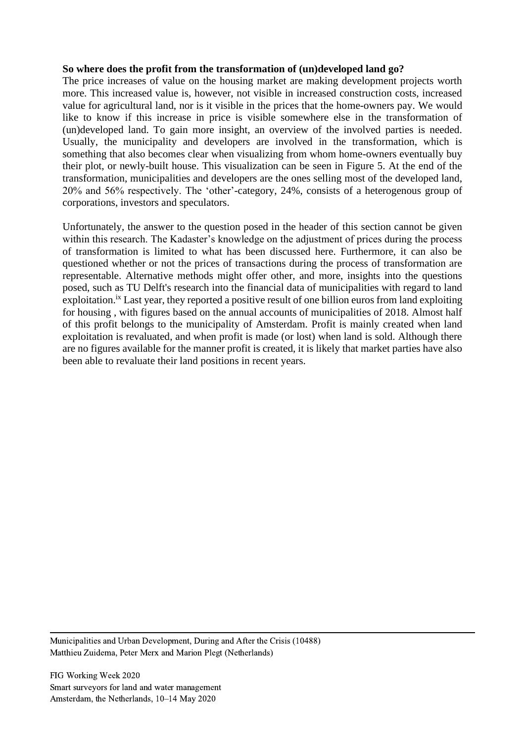#### **So where does the profit from the transformation of (un)developed land go?**

The price increases of value on the housing market are making development projects worth more. This increased value is, however, not visible in increased construction costs, increased value for agricultural land, nor is it visible in the prices that the home-owners pay. We would like to know if this increase in price is visible somewhere else in the transformation of (un)developed land. To gain more insight, an overview of the involved parties is needed. Usually, the municipality and developers are involved in the transformation, which is something that also becomes clear when visualizing from whom home-owners eventually buy their plot, or newly-built house. This visualization can be seen in Figure 5. At the end of the transformation, municipalities and developers are the ones selling most of the developed land, 20% and 56% respectively. The 'other'-category, 24%, consists of a heterogenous group of corporations, investors and speculators.

Unfortunately, the answer to the question posed in the header of this section cannot be given within this research. The Kadaster's knowledge on the adjustment of prices during the process of transformation is limited to what has been discussed here. Furthermore, it can also be questioned whether or not the prices of transactions during the process of transformation are representable. Alternative methods might offer other, and more, insights into the questions posed, such as TU Delft's research into the financial data of municipalities with regard to land exploitation.<sup>ix</sup> Last year, they reported a positive result of one billion euros from land exploiting for housing , with figures based on the annual accounts of municipalities of 2018. Almost half of this profit belongs to the municipality of Amsterdam. Profit is mainly created when land exploitation is revaluated, and when profit is made (or lost) when land is sold. Although there are no figures available for the manner profit is created, it is likely that market parties have also been able to revaluate their land positions in recent years.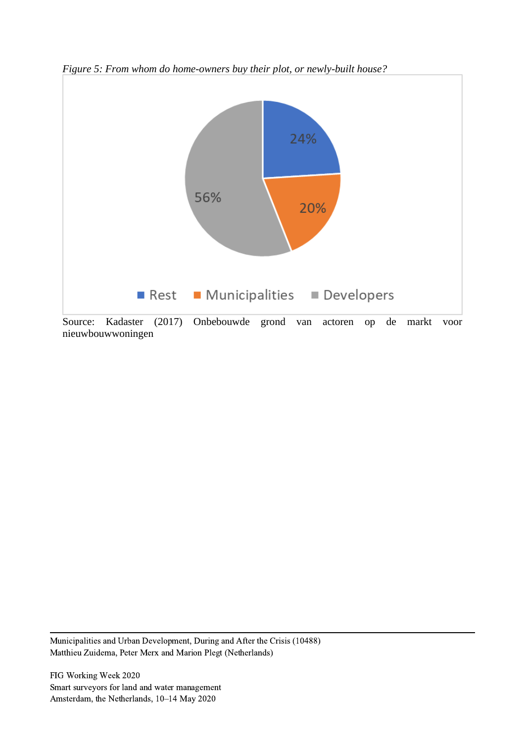

*Figure 5: From whom do home-owners buy their plot, or newly-built house?*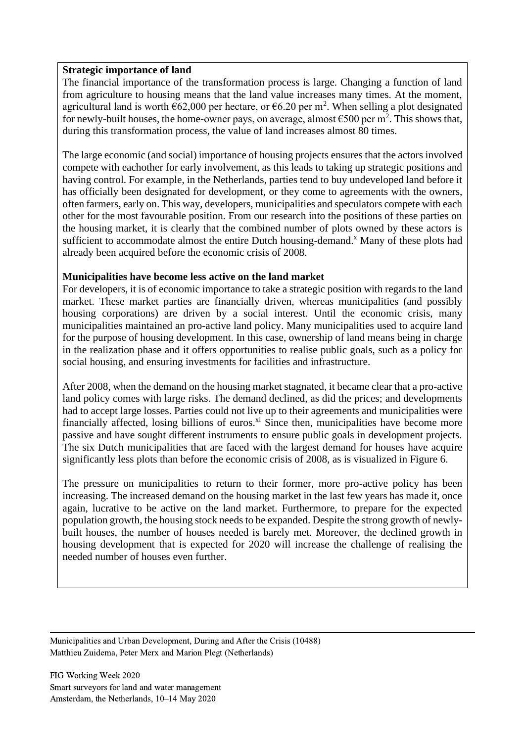#### **Strategic importance of land**

The financial importance of the transformation process is large. Changing a function of land from agriculture to housing means that the land value increases many times. At the moment, agricultural land is worth  $662,000$  per hectare, or  $6.20$  per m<sup>2</sup>. When selling a plot designated for newly-built houses, the home-owner pays, on average, almost  $\epsilon$ 500 per m<sup>2</sup>. This shows that, during this transformation process, the value of land increases almost 80 times.

The large economic (and social) importance of housing projects ensures that the actors involved compete with eachother for early involvement, as this leads to taking up strategic positions and having control. For example, in the Netherlands, parties tend to buy undeveloped land before it has officially been designated for development, or they come to agreements with the owners, often farmers, early on. This way, developers, municipalities and speculators compete with each other for the most favourable position. From our research into the positions of these parties on the housing market, it is clearly that the combined number of plots owned by these actors is sufficient to accommodate almost the entire Dutch housing-demand.<sup>x</sup> Many of these plots had already been acquired before the economic crisis of 2008.

### **Municipalities have become less active on the land market**

For developers, it is of economic importance to take a strategic position with regards to the land market. These market parties are financially driven, whereas municipalities (and possibly housing corporations) are driven by a social interest. Until the economic crisis, many municipalities maintained an pro-active land policy. Many municipalities used to acquire land for the purpose of housing development. In this case, ownership of land means being in charge in the realization phase and it offers opportunities to realise public goals, such as a policy for social housing, and ensuring investments for facilities and infrastructure.

After 2008, when the demand on the housing market stagnated, it became clear that a pro-active land policy comes with large risks. The demand declined, as did the prices; and developments had to accept large losses. Parties could not live up to their agreements and municipalities were financially affected, losing billions of euros. $^{\text{xi}}$  Since then, municipalities have become more passive and have sought different instruments to ensure public goals in development projects. The six Dutch municipalities that are faced with the largest demand for houses have acquire significantly less plots than before the economic crisis of 2008, as is visualized in Figure 6.

The pressure on municipalities to return to their former, more pro-active policy has been increasing. The increased demand on the housing market in the last few years has made it, once again, lucrative to be active on the land market. Furthermore, to prepare for the expected population growth, the housing stock needs to be expanded. Despite the strong growth of newlybuilt houses, the number of houses needed is barely met. Moreover, the declined growth in housing development that is expected for 2020 will increase the challenge of realising the needed number of houses even further.

Municipalities and Urban Development, During and After the Crisis (10488) Matthieu Zuidema, Peter Merx and Marion Plegt (Netherlands)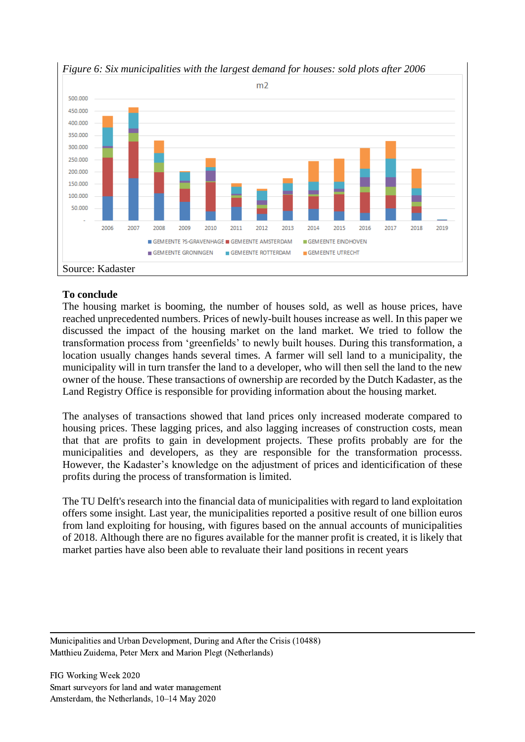

## *Figure 6: Six municipalities with the largest demand for houses: sold plots after 2006*

### **To conclude**

The housing market is booming, the number of houses sold, as well as house prices, have reached unprecedented numbers. Prices of newly-built houses increase as well. In this paper we discussed the impact of the housing market on the land market. We tried to follow the transformation process from 'greenfields' to newly built houses. During this transformation, a location usually changes hands several times. A farmer will sell land to a municipality, the municipality will in turn transfer the land to a developer, who will then sell the land to the new owner of the house. These transactions of ownership are recorded by the Dutch Kadaster, as the Land Registry Office is responsible for providing information about the housing market.

The analyses of transactions showed that land prices only increased moderate compared to housing prices. These lagging prices, and also lagging increases of construction costs, mean that that are profits to gain in development projects. These profits probably are for the municipalities and developers, as they are responsible for the transformation processs. However, the Kadaster's knowledge on the adjustment of prices and identicification of these profits during the process of transformation is limited.

The TU Delft's research into the financial data of municipalities with regard to land exploitation offers some insight. Last year, the municipalities reported a positive result of one billion euros from land exploiting for housing, with figures based on the annual accounts of municipalities of 2018. Although there are no figures available for the manner profit is created, it is likely that market parties have also been able to revaluate their land positions in recent years

Municipalities and Urban Development, During and After the Crisis (10488) Matthieu Zuidema, Peter Merx and Marion Plegt (Netherlands)